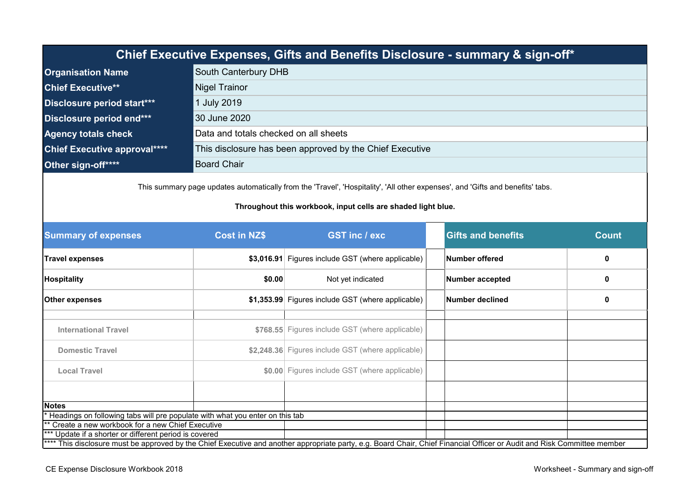| Chief Executive Expenses, Gifts and Benefits Disclosure - summary & sign-off*                   |                                       |  |  |  |  |
|-------------------------------------------------------------------------------------------------|---------------------------------------|--|--|--|--|
| South Canterbury DHB<br><b>Organisation Name</b>                                                |                                       |  |  |  |  |
| <b>Chief Executive**</b>                                                                        | <b>Nigel Trainor</b>                  |  |  |  |  |
| Disclosure period start***<br>1 July 2019                                                       |                                       |  |  |  |  |
| Disclosure period end***<br>30 June 2020                                                        |                                       |  |  |  |  |
| <b>Agency totals check</b>                                                                      | Data and totals checked on all sheets |  |  |  |  |
| This disclosure has been approved by the Chief Executive<br><b>Chief Executive approval****</b> |                                       |  |  |  |  |
| Other sign-off****                                                                              | <b>Board Chair</b>                    |  |  |  |  |
|                                                                                                 |                                       |  |  |  |  |

This summary page updates automatically from the 'Travel', 'Hospitality', 'All other expenses', and 'Gifts and benefits' tabs.

## **Throughout this workbook, input cells are shaded light blue.**

| <b>Summary of expenses</b><br><b>Cost in NZ\$</b>                                                                                                                        |                   | <b>GST inc / exc</b>                              |                        | <b>Gifts and benefits</b> | <b>Count</b> |
|--------------------------------------------------------------------------------------------------------------------------------------------------------------------------|-------------------|---------------------------------------------------|------------------------|---------------------------|--------------|
| <b>Travel expenses</b>                                                                                                                                                   |                   | \$3,016.91 Figures include GST (where applicable) |                        | Number offered            | $\mathbf{0}$ |
| <b>Hospitality</b>                                                                                                                                                       | Not yet indicated |                                                   | <b>Number accepted</b> | 0                         |              |
| Other expenses                                                                                                                                                           |                   | \$1,353.99 Figures include GST (where applicable) |                        | Number declined           | 0            |
|                                                                                                                                                                          |                   |                                                   |                        |                           |              |
| <b>International Travel</b><br><b>Domestic Travel</b><br><b>Local Travel</b>                                                                                             |                   | \$768.55 Figures include GST (where applicable)   |                        |                           |              |
|                                                                                                                                                                          |                   | \$2,248.36 Figures include GST (where applicable) |                        |                           |              |
|                                                                                                                                                                          |                   | \$0.00 Figures include GST (where applicable)     |                        |                           |              |
|                                                                                                                                                                          |                   |                                                   |                        |                           |              |
| <b>Notes</b>                                                                                                                                                             |                   |                                                   |                        |                           |              |
| Headings on following tabs will pre populate with what you enter on this tab                                                                                             |                   |                                                   |                        |                           |              |
| ** Create a new workbook for a new Chief Executive                                                                                                                       |                   |                                                   |                        |                           |              |
| *** Update if a shorter or different period is covered                                                                                                                   |                   |                                                   |                        |                           |              |
| **** This disclosure must be approved by the Chief Executive and another appropriate party, e.g. Board Chair, Chief Financial Officer or Audit and Risk Committee member |                   |                                                   |                        |                           |              |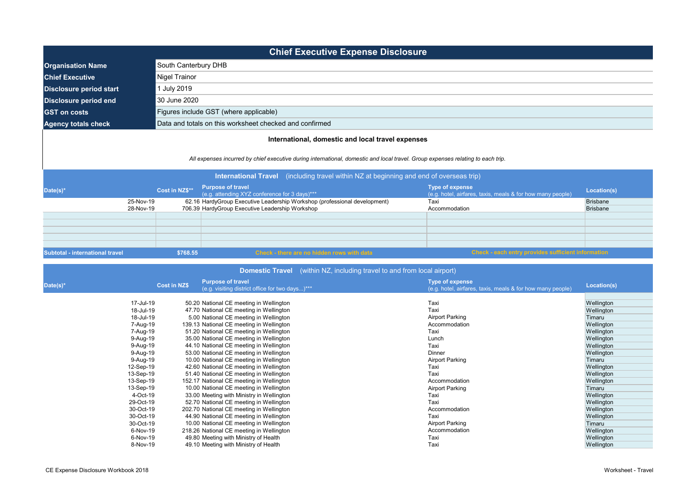|                                                    |                        | <b>Chief Executive Expense Disclosure</b>                                                                                                                                                                                            |                                                                               |                             |  |  |
|----------------------------------------------------|------------------------|--------------------------------------------------------------------------------------------------------------------------------------------------------------------------------------------------------------------------------------|-------------------------------------------------------------------------------|-----------------------------|--|--|
| <b>Organisation Name</b>                           | South Canterbury DHB   |                                                                                                                                                                                                                                      |                                                                               |                             |  |  |
| <b>Chief Executive</b>                             | Nigel Trainor          |                                                                                                                                                                                                                                      |                                                                               |                             |  |  |
| <b>July 2019</b><br><b>Disclosure period start</b> |                        |                                                                                                                                                                                                                                      |                                                                               |                             |  |  |
| <b>Disclosure period end</b>                       | 30 June 2020           |                                                                                                                                                                                                                                      |                                                                               |                             |  |  |
| <b>GST</b> on costs                                |                        | Figures include GST (where applicable)                                                                                                                                                                                               |                                                                               |                             |  |  |
| <b>Agency totals check</b>                         |                        | Data and totals on this worksheet checked and confirmed                                                                                                                                                                              |                                                                               |                             |  |  |
|                                                    |                        | All expenses incurred by chief executive during international, domestic and local travel. Group expenses relating to each trip.<br>(including travel within NZ at beginning and end of overseas trip)<br><b>International Travel</b> |                                                                               |                             |  |  |
| Date(s)*                                           | Cost in NZ\$**         | <b>Purpose of travel</b><br>(e.g. attending XYZ conference for 3 days)***                                                                                                                                                            | Type of expense<br>(e.g. hotel, airfares, taxis, meals & for how many people) | Location(s)                 |  |  |
|                                                    | 25-Nov-19<br>28-Nov-19 | 62.16 HardyGroup Executive Leadership Workshop (professional development)<br>706.39 HardyGroup Executive Leadership Workshop                                                                                                         | Taxi<br>Accommodation                                                         | Brisbane<br><b>Brisbane</b> |  |  |
| Subtotal - international travel                    |                        | \$768.55<br>Check - there are no hidden rows with data                                                                                                                                                                               | Check - each entry provides sufficient information                            |                             |  |  |

|           |                     |                                                                             | <b>Domestic Travel</b> (within NZ, including travel to and from local airport) |                                                                                      |             |
|-----------|---------------------|-----------------------------------------------------------------------------|--------------------------------------------------------------------------------|--------------------------------------------------------------------------------------|-------------|
| Date(s)*  | <b>Cost in NZ\$</b> | <b>Purpose of travel</b><br>(e.g. visiting district office for two days)*** |                                                                                | <b>Type of expense</b><br>(e.g. hotel, airfares, taxis, meals & for how many people) | Location(s) |
|           |                     |                                                                             |                                                                                |                                                                                      |             |
| 17-Jul-19 |                     | 50.20 National CE meeting in Wellington                                     |                                                                                | Taxi                                                                                 | Wellington  |
| 18-Jul-19 |                     | 47.70 National CE meeting in Wellington                                     |                                                                                | Taxi                                                                                 | Wellington  |
| 18-Jul-19 |                     | 5.00 National CE meeting in Wellington                                      |                                                                                | <b>Airport Parking</b>                                                               | Timaru      |
| 7-Aug-19  |                     | 139.13 National CE meeting in Wellington                                    |                                                                                | Accommodation                                                                        | Wellington  |
| 7-Aug-19  |                     | 51.20 National CE meeting in Wellington                                     |                                                                                | Taxi                                                                                 | Wellington  |
| 9-Aug-19  |                     | 35.00 National CE meeting in Wellington                                     |                                                                                | Lunch                                                                                | Wellington  |
| 9-Aug-19  |                     | 44.10 National CE meeting in Wellington                                     |                                                                                | Taxi                                                                                 | Wellington  |
| 9-Aug-19  |                     | 53.00 National CE meeting in Wellington                                     |                                                                                | Dinner                                                                               | Wellington  |
| 9-Aug-19  |                     | 10.00 National CE meeting in Wellington                                     |                                                                                | <b>Airport Parking</b>                                                               | Timaru      |
| 12-Sep-19 |                     | 42.60 National CE meeting in Wellington                                     |                                                                                | Taxi                                                                                 | Wellington  |
| 13-Sep-19 |                     | 51.40 National CE meeting in Wellington                                     |                                                                                | Taxi                                                                                 | Wellington  |
| 13-Sep-19 |                     | 152.17 National CE meeting in Wellington                                    |                                                                                | Accommodation                                                                        | Wellington  |
| 13-Sep-19 |                     | 10.00 National CE meeting in Wellington                                     |                                                                                | Airport Parking                                                                      | Timaru      |
| 4-Oct-19  |                     | 33.00 Meeting with Ministry in Wellington                                   |                                                                                | Taxi                                                                                 | Wellington  |
| 29-Oct-19 |                     | 52.70 National CE meeting in Wellington                                     |                                                                                | Taxi                                                                                 | Wellington  |
| 30-Oct-19 |                     | 202.70 National CE meeting in Wellington                                    |                                                                                | Accommodation                                                                        | Wellington  |
| 30-Oct-19 |                     | 44.90 National CE meeting in Wellington                                     |                                                                                | Taxi                                                                                 | Wellington  |
| 30-Oct-19 |                     | 10.00 National CE meeting in Wellington                                     |                                                                                | Airport Parking                                                                      | Timaru      |
| 6-Nov-19  |                     | 218.26 National CE meeting in Wellington                                    |                                                                                | Accommodation                                                                        | Wellington  |
| 6-Nov-19  |                     | 49.80 Meeting with Ministry of Health                                       |                                                                                | Taxi                                                                                 | Wellington  |
| 8-Nov-19  |                     | 49.10 Meeting with Ministry of Health                                       |                                                                                | Taxi                                                                                 | Wellington  |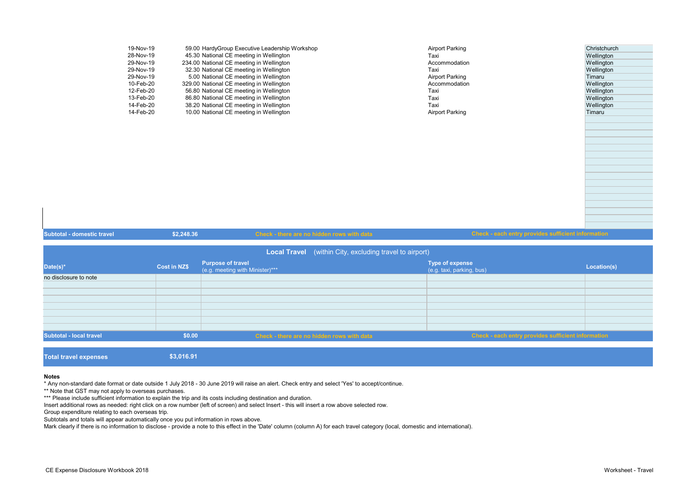| 19-Nov-19 | 59.00 HardyGroup Executive Leadership Workshop | Airport Parking | Christchurch |
|-----------|------------------------------------------------|-----------------|--------------|
| 28-Nov-19 | 45.30 National CE meeting in Wellington        | Taxi            | Wellington   |
| 29-Nov-19 | 234.00 National CE meeting in Wellington       | Accommodation   | Wellington   |
| 29-Nov-19 | 32.30 National CE meeting in Wellington        | Taxi            | Wellington   |
| 29-Nov-19 | 5.00 National CE meeting in Wellington         | Airport Parking | Timaru       |
| 10-Feb-20 | 329.00 National CE meeting in Wellington       | Accommodation   | Wellington   |
| 12-Feb-20 | 56.80 National CE meeting in Wellington        | Taxi            | Wellington   |
| 13-Feb-20 | 86.80 National CE meeting in Wellington        | Taxi            | Wellington   |
| 14-Feb-20 | 38.20 National CE meeting in Wellington        | Taxi            | Wellington   |
| 14-Feb-20 | 10.00 National CE meeting in Wellington        | Airport Parking | Timaru       |
|           |                                                |                 |              |

| <b>Subtotal - domestic travel</b>                       | \$2,248.36          | Check - there are no hidden rows with data                  | Check - each entry provides sufficient information        |             |
|---------------------------------------------------------|---------------------|-------------------------------------------------------------|-----------------------------------------------------------|-------------|
| Local Travel (within City, excluding travel to airport) |                     |                                                             |                                                           |             |
| Date(s)*                                                | <b>Cost in NZ\$</b> | <b>Purpose of travel</b><br>(e.g. meeting with Minister)*** | <b>Type of expense</b><br>(e.g. taxi, parking, bus)       | Location(s) |
| no disclosure to note                                   |                     |                                                             |                                                           |             |
|                                                         |                     |                                                             |                                                           |             |
|                                                         |                     |                                                             |                                                           |             |
|                                                         |                     |                                                             |                                                           |             |
|                                                         |                     |                                                             |                                                           |             |
|                                                         |                     |                                                             |                                                           |             |
| <b>Subtotal - local travel</b>                          | \$0.00              | Check - there are no hidden rows with data                  | <b>Check - each entry provides sufficient information</b> |             |

**Total travel expenses 1999 \$3,016.91** 

## **Notes**

\* Any non-standard date format or date outside 1 July 2018 - 30 June 2019 will raise an alert. Check entry and select 'Yes' to accept/continue.

\*\* Note that GST may not apply to overseas purchases.

\*\*\* Please include sufficient information to explain the trip and its costs including destination and duration.

Insert additional rows as needed: right click on a row number (left of screen) and select Insert - this will insert a row above selected row.

Group expenditure relating to each overseas trip.

Subtotals and totals will appear automatically once you put information in rows above.

Mark clearly if there is no information to disclose - provide a note to this effect in the 'Date' column (column A) for each travel category (local, domestic and international).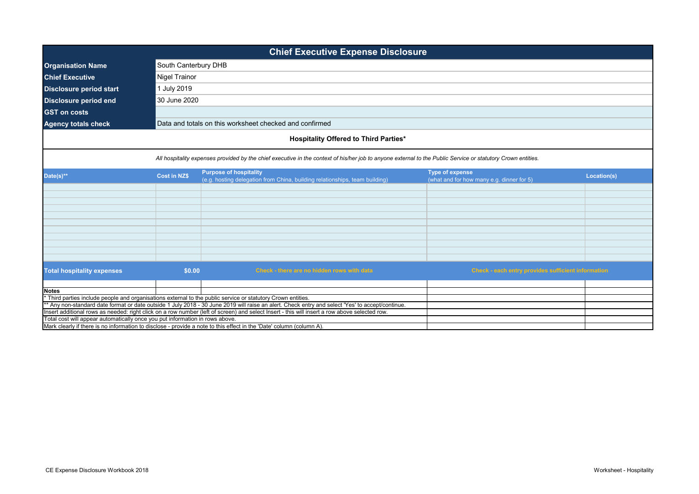| <b>Chief Executive Expense Disclosure</b>                                                     |                                                                                                                                               |                                                                                                                                                                                                                                                                  |                                                                     |             |  |  |
|-----------------------------------------------------------------------------------------------|-----------------------------------------------------------------------------------------------------------------------------------------------|------------------------------------------------------------------------------------------------------------------------------------------------------------------------------------------------------------------------------------------------------------------|---------------------------------------------------------------------|-------------|--|--|
| South Canterbury DHB<br><b>Organisation Name</b>                                              |                                                                                                                                               |                                                                                                                                                                                                                                                                  |                                                                     |             |  |  |
| <b>Chief Executive</b><br>Nigel Trainor                                                       |                                                                                                                                               |                                                                                                                                                                                                                                                                  |                                                                     |             |  |  |
| 1 July 2019<br><b>Disclosure period start</b><br>30 June 2020<br><b>Disclosure period end</b> |                                                                                                                                               |                                                                                                                                                                                                                                                                  |                                                                     |             |  |  |
|                                                                                               |                                                                                                                                               |                                                                                                                                                                                                                                                                  |                                                                     |             |  |  |
| <b>Agency totals check</b>                                                                    |                                                                                                                                               | Data and totals on this worksheet checked and confirmed                                                                                                                                                                                                          |                                                                     |             |  |  |
|                                                                                               |                                                                                                                                               |                                                                                                                                                                                                                                                                  |                                                                     |             |  |  |
|                                                                                               |                                                                                                                                               | <b>Hospitality Offered to Third Parties*</b>                                                                                                                                                                                                                     |                                                                     |             |  |  |
|                                                                                               |                                                                                                                                               | All hospitality expenses provided by the chief executive in the context of his/her job to anyone external to the Public Service or statutory Crown entities.                                                                                                     |                                                                     |             |  |  |
|                                                                                               |                                                                                                                                               |                                                                                                                                                                                                                                                                  |                                                                     |             |  |  |
| Date(s) $**$                                                                                  | <b>Cost in NZ\$</b>                                                                                                                           | <b>Purpose of hospitality</b><br>(e.g. hosting delegation from China, building relationships, team building)                                                                                                                                                     | <b>Type of expense</b><br>(what and for how many e.g. dinner for 5) | Location(s) |  |  |
|                                                                                               |                                                                                                                                               |                                                                                                                                                                                                                                                                  |                                                                     |             |  |  |
|                                                                                               |                                                                                                                                               |                                                                                                                                                                                                                                                                  |                                                                     |             |  |  |
|                                                                                               |                                                                                                                                               |                                                                                                                                                                                                                                                                  |                                                                     |             |  |  |
|                                                                                               |                                                                                                                                               |                                                                                                                                                                                                                                                                  |                                                                     |             |  |  |
|                                                                                               |                                                                                                                                               |                                                                                                                                                                                                                                                                  |                                                                     |             |  |  |
|                                                                                               |                                                                                                                                               |                                                                                                                                                                                                                                                                  |                                                                     |             |  |  |
|                                                                                               |                                                                                                                                               |                                                                                                                                                                                                                                                                  |                                                                     |             |  |  |
|                                                                                               |                                                                                                                                               |                                                                                                                                                                                                                                                                  |                                                                     |             |  |  |
|                                                                                               |                                                                                                                                               |                                                                                                                                                                                                                                                                  |                                                                     |             |  |  |
| <b>Total hospitality expenses</b>                                                             | \$0.00                                                                                                                                        | Check - there are no hidden rows with data                                                                                                                                                                                                                       | <b>Check - each entry provides sufficient information</b>           |             |  |  |
|                                                                                               |                                                                                                                                               |                                                                                                                                                                                                                                                                  |                                                                     |             |  |  |
| <b>Notes</b>                                                                                  |                                                                                                                                               |                                                                                                                                                                                                                                                                  |                                                                     |             |  |  |
|                                                                                               |                                                                                                                                               | * Third parties include people and organisations external to the public service or statutory Crown entities.<br>** Any non-standard date format or date outside 1 July 2018 - 30 June 2019 will raise an alert. Check entry and select 'Yes' to accept/continue. |                                                                     |             |  |  |
|                                                                                               | Insert additional rows as needed: right click on a row number (left of screen) and select Insert - this will insert a row above selected row. |                                                                                                                                                                                                                                                                  |                                                                     |             |  |  |
|                                                                                               | Total cost will appear automatically once you put information in rows above.                                                                  |                                                                                                                                                                                                                                                                  |                                                                     |             |  |  |
|                                                                                               | Mark clearly if there is no information to disclose - provide a note to this effect in the 'Date' column (column A).                          |                                                                                                                                                                                                                                                                  |                                                                     |             |  |  |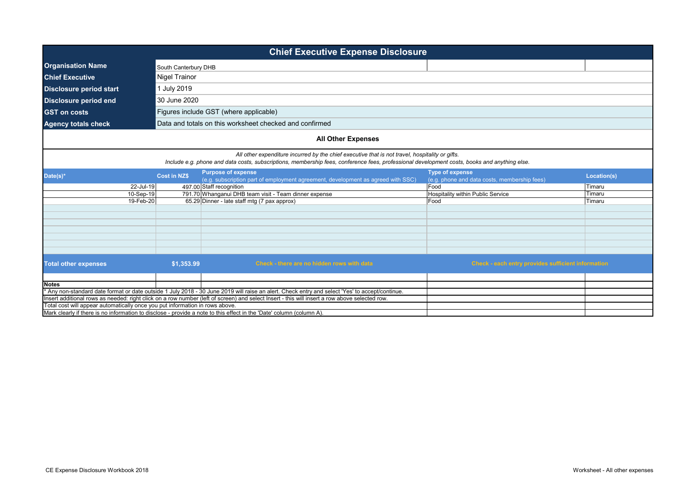| <b>Chief Executive Expense Disclosure</b>        |                                                                                                                                                                                                                                                 |                     |                                                                                                                                                 |                                                                        |             |  |
|--------------------------------------------------|-------------------------------------------------------------------------------------------------------------------------------------------------------------------------------------------------------------------------------------------------|---------------------|-------------------------------------------------------------------------------------------------------------------------------------------------|------------------------------------------------------------------------|-------------|--|
| <b>Organisation Name</b><br>South Canterbury DHB |                                                                                                                                                                                                                                                 |                     |                                                                                                                                                 |                                                                        |             |  |
| <b>Chief Executive</b>                           |                                                                                                                                                                                                                                                 | Nigel Trainor       |                                                                                                                                                 |                                                                        |             |  |
| <b>Disclosure period start</b>                   |                                                                                                                                                                                                                                                 | 1 July 2019         |                                                                                                                                                 |                                                                        |             |  |
| 30 June 2020<br><b>Disclosure period end</b>     |                                                                                                                                                                                                                                                 |                     |                                                                                                                                                 |                                                                        |             |  |
| <b>GST on costs</b>                              | Figures include GST (where applicable)                                                                                                                                                                                                          |                     |                                                                                                                                                 |                                                                        |             |  |
| <b>Agency totals check</b>                       |                                                                                                                                                                                                                                                 |                     | Data and totals on this worksheet checked and confirmed                                                                                         |                                                                        |             |  |
|                                                  |                                                                                                                                                                                                                                                 |                     | <b>All Other Expenses</b>                                                                                                                       |                                                                        |             |  |
|                                                  | All other expenditure incurred by the chief executive that is not travel, hospitality or gifts.<br>Include e.g. phone and data costs, subscriptions, membership fees, conference fees, professional development costs, books and anything else. |                     |                                                                                                                                                 |                                                                        |             |  |
| Date(s)*                                         |                                                                                                                                                                                                                                                 | <b>Cost in NZ\$</b> | <b>Purpose of expense</b><br>(e.g. subscription part of employment agreement, development as agreed with SSC)                                   | <b>Type of expense</b><br>(e.g. phone and data costs, membership fees) | Location(s) |  |
|                                                  | 22-Jul-19                                                                                                                                                                                                                                       |                     | 497.00 Staff recognition                                                                                                                        | Food                                                                   | Timaru      |  |
|                                                  | 10-Sep-19                                                                                                                                                                                                                                       |                     | 791.70 Whanganui DHB team visit - Team dinner expense                                                                                           | Hospitality within Public Service                                      | Timaru      |  |
|                                                  | 19-Feb-20                                                                                                                                                                                                                                       |                     | 65.29 Dinner - late staff mtg (7 pax approx)                                                                                                    | Food                                                                   | Timaru      |  |
|                                                  |                                                                                                                                                                                                                                                 |                     |                                                                                                                                                 |                                                                        |             |  |
|                                                  |                                                                                                                                                                                                                                                 |                     |                                                                                                                                                 |                                                                        |             |  |
|                                                  |                                                                                                                                                                                                                                                 |                     |                                                                                                                                                 |                                                                        |             |  |
|                                                  |                                                                                                                                                                                                                                                 |                     |                                                                                                                                                 |                                                                        |             |  |
|                                                  |                                                                                                                                                                                                                                                 |                     |                                                                                                                                                 |                                                                        |             |  |
|                                                  |                                                                                                                                                                                                                                                 |                     |                                                                                                                                                 |                                                                        |             |  |
|                                                  |                                                                                                                                                                                                                                                 |                     |                                                                                                                                                 |                                                                        |             |  |
| <b>Total other expenses</b>                      |                                                                                                                                                                                                                                                 | \$1,353.99          | Check - there are no hidden rows with data                                                                                                      | Check - each entry provides sufficient information                     |             |  |
|                                                  |                                                                                                                                                                                                                                                 |                     |                                                                                                                                                 |                                                                        |             |  |
| <b>Notes</b>                                     |                                                                                                                                                                                                                                                 |                     |                                                                                                                                                 |                                                                        |             |  |
|                                                  |                                                                                                                                                                                                                                                 |                     | * Any non-standard date format or date outside 1 July 2018 - 30 June 2019 will raise an alert. Check entry and select 'Yes' to accept/continue. |                                                                        |             |  |
|                                                  |                                                                                                                                                                                                                                                 |                     | Insert additional rows as needed: right click on a row number (left of screen) and select Insert - this will insert a row above selected row.   |                                                                        |             |  |
|                                                  | Total cost will appear automatically once you put information in rows above.                                                                                                                                                                    |                     |                                                                                                                                                 |                                                                        |             |  |
|                                                  |                                                                                                                                                                                                                                                 |                     | Mark clearly if there is no information to disclose - provide a note to this effect in the 'Date' column (column A).                            |                                                                        |             |  |